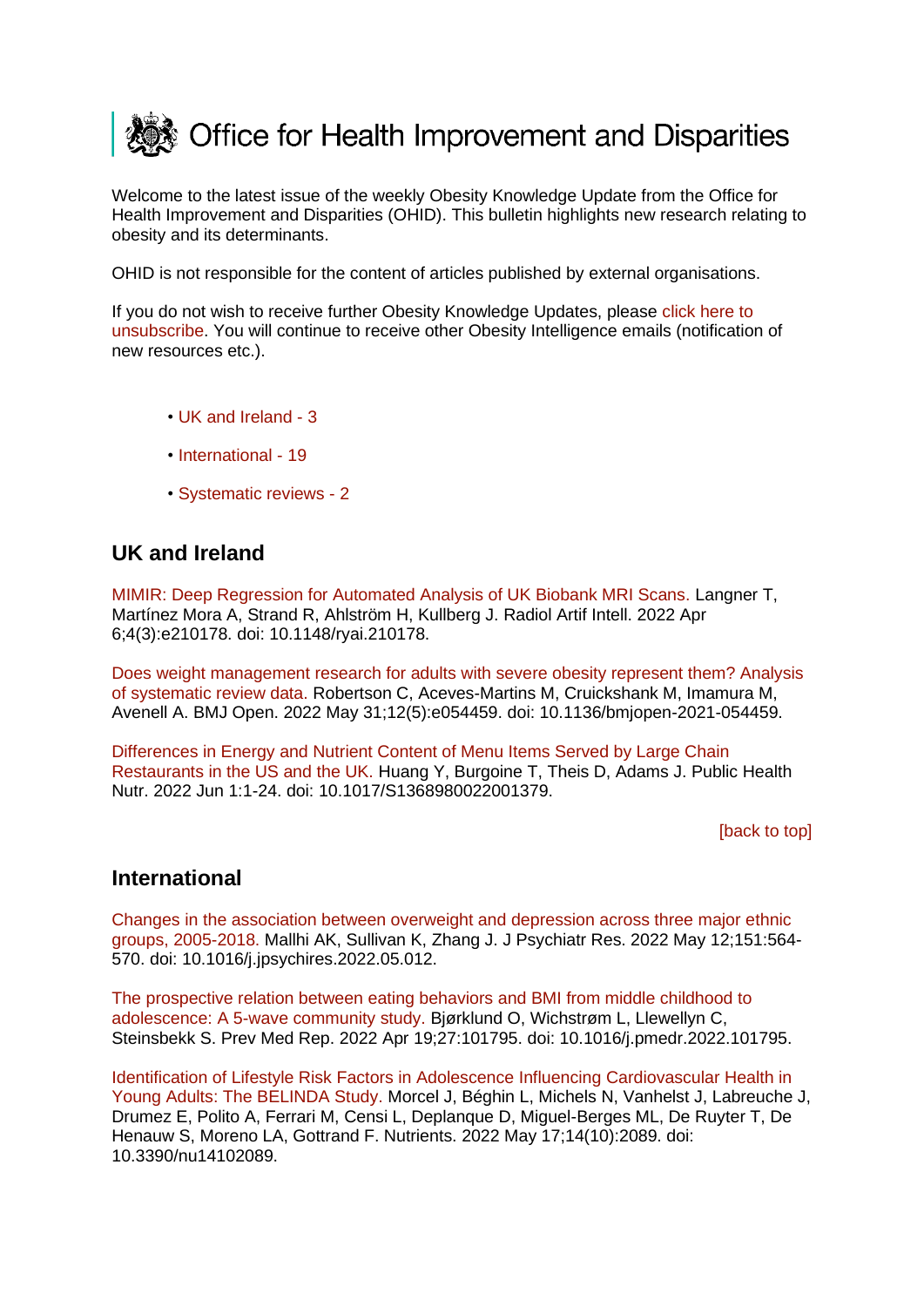<span id="page-0-2"></span>

Welcome to the latest issue of the weekly Obesity Knowledge Update from the Office for Health Improvement and Disparities (OHID). This bulletin highlights new research relating to obesity and its determinants.

OHID is not responsible for the content of articles published by external organisations.

If you do not wish to receive further Obesity Knowledge Updates, please [click here to](mailto:ObesityIntelligence@phe.gov.uk?subject=Unsubscribe%20from%20Knowledge%20Update%20mailing%20list)  [unsubscribe.](mailto:ObesityIntelligence@phe.gov.uk?subject=Unsubscribe%20from%20Knowledge%20Update%20mailing%20list) You will continue to receive other Obesity Intelligence emails (notification of new resources etc.).

- • [UK and Ireland -](#page-0-0) 3
- [International -](#page-0-1) 19
- [Systematic reviews -](#page-2-0) 2

## <span id="page-0-0"></span>**UK and Ireland**

[MIMIR: Deep Regression for Automated Analysis of UK Biobank MRI Scans. L](https://eur03.safelinks.protection.outlook.com/?url=https%3A%2F%2Fpubmed.ncbi.nlm.nih.gov%2F35652115%2F&data=05%7C01%7CMaggie.Graham%40dhsc.gov.uk%7C026fd0f6c4054e5f5a5f08da48775681%7C61278c3091a84c318c1fef4de8973a1c%7C1%7C0%7C637901974625698234%7CUnknown%7CTWFpbGZsb3d8eyJWIjoiMC4wLjAwMDAiLCJQIjoiV2luMzIiLCJBTiI6Ik1haWwiLCJXVCI6Mn0%3D%7C3000%7C%7C%7C&sdata=mrXKxzypGaKolUfzAiYgVFyZqXuxLncc7ZlvPiblVSg%3D&reserved=0)angner T, Martínez Mora A, Strand R, Ahlström H, Kullberg J. Radiol Artif Intell. 2022 Apr 6;4(3):e210178. doi: 10.1148/ryai.210178.

[Does weight management research for adults with severe obesity represent them? Analysis](https://eur03.safelinks.protection.outlook.com/?url=https%3A%2F%2Fpubmed.ncbi.nlm.nih.gov%2F35641006%2F&data=05%7C01%7CMaggie.Graham%40dhsc.gov.uk%7C026fd0f6c4054e5f5a5f08da48775681%7C61278c3091a84c318c1fef4de8973a1c%7C1%7C0%7C637901974625854405%7CUnknown%7CTWFpbGZsb3d8eyJWIjoiMC4wLjAwMDAiLCJQIjoiV2luMzIiLCJBTiI6Ik1haWwiLCJXVCI6Mn0%3D%7C3000%7C%7C%7C&sdata=2S9xcwTQvYd4kUWBh%2BTNfb4PKdcPj0BU0x8nUuNPxW0%3D&reserved=0)  [of systematic review data. R](https://eur03.safelinks.protection.outlook.com/?url=https%3A%2F%2Fpubmed.ncbi.nlm.nih.gov%2F35641006%2F&data=05%7C01%7CMaggie.Graham%40dhsc.gov.uk%7C026fd0f6c4054e5f5a5f08da48775681%7C61278c3091a84c318c1fef4de8973a1c%7C1%7C0%7C637901974625854405%7CUnknown%7CTWFpbGZsb3d8eyJWIjoiMC4wLjAwMDAiLCJQIjoiV2luMzIiLCJBTiI6Ik1haWwiLCJXVCI6Mn0%3D%7C3000%7C%7C%7C&sdata=2S9xcwTQvYd4kUWBh%2BTNfb4PKdcPj0BU0x8nUuNPxW0%3D&reserved=0)obertson C, Aceves-Martins M, Cruickshank M, Imamura M, Avenell A. BMJ Open. 2022 May 31;12(5):e054459. doi: 10.1136/bmjopen-2021-054459.

[Differences in Energy and Nutrient Content of Menu Items Served by Large Chain](https://eur03.safelinks.protection.outlook.com/?url=https%3A%2F%2Fpubmed.ncbi.nlm.nih.gov%2F35642073%2F&data=05%7C01%7CMaggie.Graham%40dhsc.gov.uk%7C026fd0f6c4054e5f5a5f08da48775681%7C61278c3091a84c318c1fef4de8973a1c%7C1%7C0%7C637901974625854405%7CUnknown%7CTWFpbGZsb3d8eyJWIjoiMC4wLjAwMDAiLCJQIjoiV2luMzIiLCJBTiI6Ik1haWwiLCJXVCI6Mn0%3D%7C3000%7C%7C%7C&sdata=995lnxZjRJZnBWq7MsfpJeWcW0t91jJeBspMck2zvGE%3D&reserved=0)  [Restaurants in the US and the UK. H](https://eur03.safelinks.protection.outlook.com/?url=https%3A%2F%2Fpubmed.ncbi.nlm.nih.gov%2F35642073%2F&data=05%7C01%7CMaggie.Graham%40dhsc.gov.uk%7C026fd0f6c4054e5f5a5f08da48775681%7C61278c3091a84c318c1fef4de8973a1c%7C1%7C0%7C637901974625854405%7CUnknown%7CTWFpbGZsb3d8eyJWIjoiMC4wLjAwMDAiLCJQIjoiV2luMzIiLCJBTiI6Ik1haWwiLCJXVCI6Mn0%3D%7C3000%7C%7C%7C&sdata=995lnxZjRJZnBWq7MsfpJeWcW0t91jJeBspMck2zvGE%3D&reserved=0)uang Y, Burgoine T, Theis D, Adams J. Public Health Nutr. 2022 Jun 1:1-24. doi: 10.1017/S1368980022001379.

[\[back to top\]](#page-0-2)

## <span id="page-0-1"></span>**International**

[Changes in the association between overweight and depression across three major ethnic](https://eur03.safelinks.protection.outlook.com/?url=https%3A%2F%2Fpubmed.ncbi.nlm.nih.gov%2F35636033%2F&data=05%7C01%7CMaggie.Graham%40dhsc.gov.uk%7C026fd0f6c4054e5f5a5f08da48775681%7C61278c3091a84c318c1fef4de8973a1c%7C1%7C0%7C637901974625698234%7CUnknown%7CTWFpbGZsb3d8eyJWIjoiMC4wLjAwMDAiLCJQIjoiV2luMzIiLCJBTiI6Ik1haWwiLCJXVCI6Mn0%3D%7C3000%7C%7C%7C&sdata=BPT6cqsHkh63iQShDpwpzvx60LDCw0OsxTwsQ9caVuQ%3D&reserved=0)  [groups, 2005-2018. M](https://eur03.safelinks.protection.outlook.com/?url=https%3A%2F%2Fpubmed.ncbi.nlm.nih.gov%2F35636033%2F&data=05%7C01%7CMaggie.Graham%40dhsc.gov.uk%7C026fd0f6c4054e5f5a5f08da48775681%7C61278c3091a84c318c1fef4de8973a1c%7C1%7C0%7C637901974625698234%7CUnknown%7CTWFpbGZsb3d8eyJWIjoiMC4wLjAwMDAiLCJQIjoiV2luMzIiLCJBTiI6Ik1haWwiLCJXVCI6Mn0%3D%7C3000%7C%7C%7C&sdata=BPT6cqsHkh63iQShDpwpzvx60LDCw0OsxTwsQ9caVuQ%3D&reserved=0)allhi AK, Sullivan K, Zhang J. J Psychiatr Res. 2022 May 12;151:564- 570. doi: 10.1016/j.jpsychires.2022.05.012.

[The prospective relation between eating behaviors and BMI from middle childhood to](https://eur03.safelinks.protection.outlook.com/?url=https%3A%2F%2Fpubmed.ncbi.nlm.nih.gov%2F35656230%2F&data=05%7C01%7CMaggie.Graham%40dhsc.gov.uk%7C026fd0f6c4054e5f5a5f08da48775681%7C61278c3091a84c318c1fef4de8973a1c%7C1%7C0%7C637901974625698234%7CUnknown%7CTWFpbGZsb3d8eyJWIjoiMC4wLjAwMDAiLCJQIjoiV2luMzIiLCJBTiI6Ik1haWwiLCJXVCI6Mn0%3D%7C3000%7C%7C%7C&sdata=H14F3LZ367O4V7KdpkYJrek8yCUvU6Nox05qVBV6ZYc%3D&reserved=0)  [adolescence: A 5-wave community study. B](https://eur03.safelinks.protection.outlook.com/?url=https%3A%2F%2Fpubmed.ncbi.nlm.nih.gov%2F35656230%2F&data=05%7C01%7CMaggie.Graham%40dhsc.gov.uk%7C026fd0f6c4054e5f5a5f08da48775681%7C61278c3091a84c318c1fef4de8973a1c%7C1%7C0%7C637901974625698234%7CUnknown%7CTWFpbGZsb3d8eyJWIjoiMC4wLjAwMDAiLCJQIjoiV2luMzIiLCJBTiI6Ik1haWwiLCJXVCI6Mn0%3D%7C3000%7C%7C%7C&sdata=H14F3LZ367O4V7KdpkYJrek8yCUvU6Nox05qVBV6ZYc%3D&reserved=0)jørklund O, Wichstrøm L, Llewellyn C, Steinsbekk S. Prev Med Rep. 2022 Apr 19;27:101795. doi: 10.1016/j.pmedr.2022.101795.

[Identification of Lifestyle Risk Factors in Adolescence Influencing Cardiovascular Health in](https://eur03.safelinks.protection.outlook.com/?url=https%3A%2F%2Fpubmed.ncbi.nlm.nih.gov%2F35631230%2F&data=05%7C01%7CMaggie.Graham%40dhsc.gov.uk%7C026fd0f6c4054e5f5a5f08da48775681%7C61278c3091a84c318c1fef4de8973a1c%7C1%7C0%7C637901974625698234%7CUnknown%7CTWFpbGZsb3d8eyJWIjoiMC4wLjAwMDAiLCJQIjoiV2luMzIiLCJBTiI6Ik1haWwiLCJXVCI6Mn0%3D%7C3000%7C%7C%7C&sdata=M4wcKw%2BAJX%2FEFRidYfr5BheBUhHPfyEzcR%2BejN9VtDI%3D&reserved=0)  [Young Adults: The BELINDA Study. M](https://eur03.safelinks.protection.outlook.com/?url=https%3A%2F%2Fpubmed.ncbi.nlm.nih.gov%2F35631230%2F&data=05%7C01%7CMaggie.Graham%40dhsc.gov.uk%7C026fd0f6c4054e5f5a5f08da48775681%7C61278c3091a84c318c1fef4de8973a1c%7C1%7C0%7C637901974625698234%7CUnknown%7CTWFpbGZsb3d8eyJWIjoiMC4wLjAwMDAiLCJQIjoiV2luMzIiLCJBTiI6Ik1haWwiLCJXVCI6Mn0%3D%7C3000%7C%7C%7C&sdata=M4wcKw%2BAJX%2FEFRidYfr5BheBUhHPfyEzcR%2BejN9VtDI%3D&reserved=0)orcel J, Béghin L, Michels N, Vanhelst J, Labreuche J, Drumez E, Polito A, Ferrari M, Censi L, Deplanque D, Miguel-Berges ML, De Ruyter T, De Henauw S, Moreno LA, Gottrand F. Nutrients. 2022 May 17;14(10):2089. doi: 10.3390/nu14102089.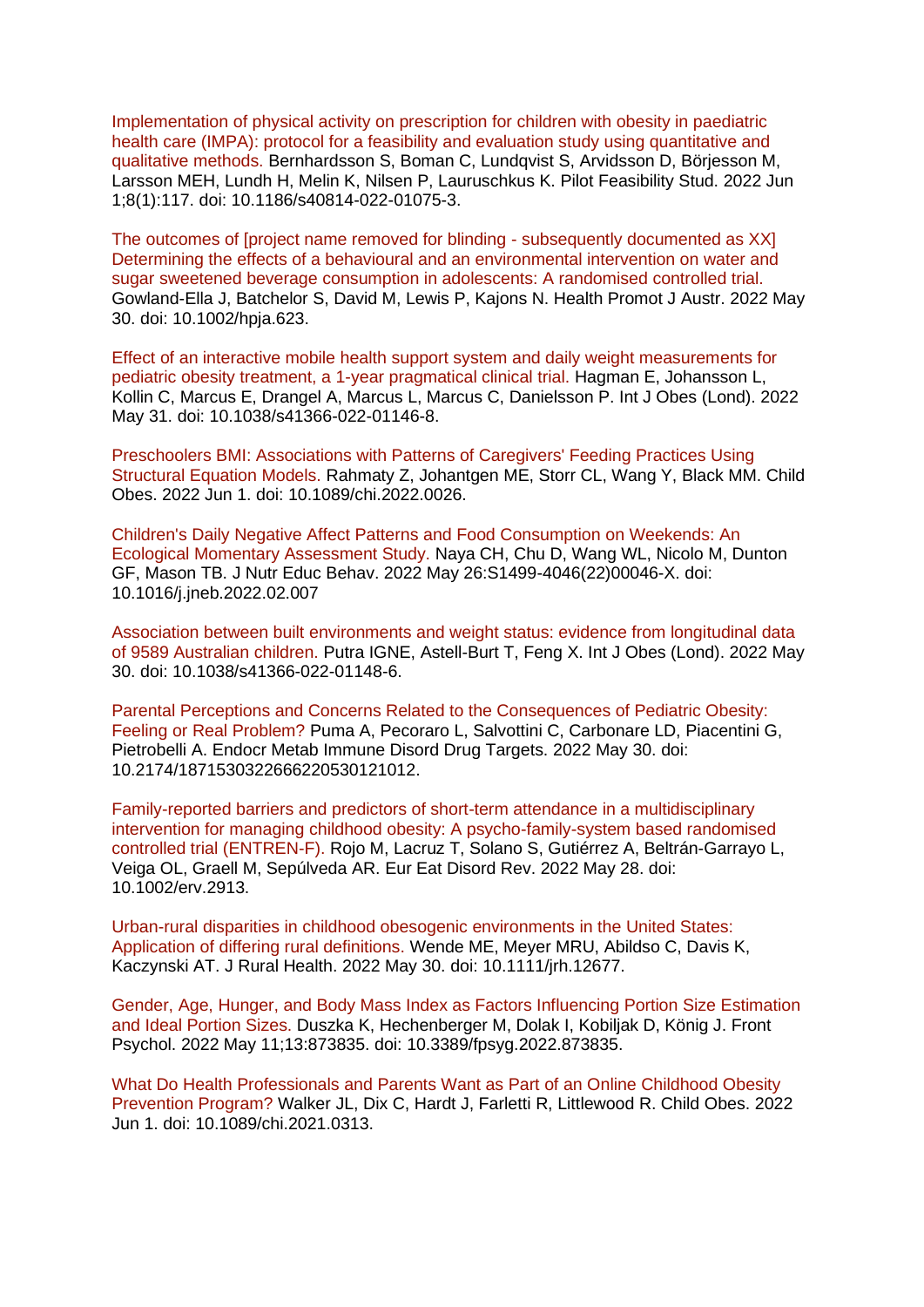[Implementation of physical activity on prescription for children with obesity in paediatric](https://eur03.safelinks.protection.outlook.com/?url=https%3A%2F%2Fpubmed.ncbi.nlm.nih.gov%2F35650617%2F&data=05%7C01%7CMaggie.Graham%40dhsc.gov.uk%7C026fd0f6c4054e5f5a5f08da48775681%7C61278c3091a84c318c1fef4de8973a1c%7C1%7C0%7C637901974625698234%7CUnknown%7CTWFpbGZsb3d8eyJWIjoiMC4wLjAwMDAiLCJQIjoiV2luMzIiLCJBTiI6Ik1haWwiLCJXVCI6Mn0%3D%7C3000%7C%7C%7C&sdata=L3dSQ0ztBicKgomnZFUY6MSGcVLk%2FCnU2pvCU90TwK4%3D&reserved=0)  [health care \(IMPA\): protocol for a feasibility and evaluation study using quantitative and](https://eur03.safelinks.protection.outlook.com/?url=https%3A%2F%2Fpubmed.ncbi.nlm.nih.gov%2F35650617%2F&data=05%7C01%7CMaggie.Graham%40dhsc.gov.uk%7C026fd0f6c4054e5f5a5f08da48775681%7C61278c3091a84c318c1fef4de8973a1c%7C1%7C0%7C637901974625698234%7CUnknown%7CTWFpbGZsb3d8eyJWIjoiMC4wLjAwMDAiLCJQIjoiV2luMzIiLCJBTiI6Ik1haWwiLCJXVCI6Mn0%3D%7C3000%7C%7C%7C&sdata=L3dSQ0ztBicKgomnZFUY6MSGcVLk%2FCnU2pvCU90TwK4%3D&reserved=0)  [qualitative methods. B](https://eur03.safelinks.protection.outlook.com/?url=https%3A%2F%2Fpubmed.ncbi.nlm.nih.gov%2F35650617%2F&data=05%7C01%7CMaggie.Graham%40dhsc.gov.uk%7C026fd0f6c4054e5f5a5f08da48775681%7C61278c3091a84c318c1fef4de8973a1c%7C1%7C0%7C637901974625698234%7CUnknown%7CTWFpbGZsb3d8eyJWIjoiMC4wLjAwMDAiLCJQIjoiV2luMzIiLCJBTiI6Ik1haWwiLCJXVCI6Mn0%3D%7C3000%7C%7C%7C&sdata=L3dSQ0ztBicKgomnZFUY6MSGcVLk%2FCnU2pvCU90TwK4%3D&reserved=0)ernhardsson S, Boman C, Lundqvist S, Arvidsson D, Börjesson M, Larsson MEH, Lundh H, Melin K, Nilsen P, Lauruschkus K. Pilot Feasibility Stud. 2022 Jun 1;8(1):117. doi: 10.1186/s40814-022-01075-3.

[The outcomes of \[project name removed for blinding -](https://eur03.safelinks.protection.outlook.com/?url=https%3A%2F%2Fpubmed.ncbi.nlm.nih.gov%2F35637595%2F&data=05%7C01%7CMaggie.Graham%40dhsc.gov.uk%7C026fd0f6c4054e5f5a5f08da48775681%7C61278c3091a84c318c1fef4de8973a1c%7C1%7C0%7C637901974625698234%7CUnknown%7CTWFpbGZsb3d8eyJWIjoiMC4wLjAwMDAiLCJQIjoiV2luMzIiLCJBTiI6Ik1haWwiLCJXVCI6Mn0%3D%7C3000%7C%7C%7C&sdata=Utbrm0tnwfYZy5w1nReSx%2Bwg5RQVv55wh9bP9rJsMD4%3D&reserved=0) subsequently documented as XX] [Determining the effects of a behavioural and an environmental intervention on water and](https://eur03.safelinks.protection.outlook.com/?url=https%3A%2F%2Fpubmed.ncbi.nlm.nih.gov%2F35637595%2F&data=05%7C01%7CMaggie.Graham%40dhsc.gov.uk%7C026fd0f6c4054e5f5a5f08da48775681%7C61278c3091a84c318c1fef4de8973a1c%7C1%7C0%7C637901974625698234%7CUnknown%7CTWFpbGZsb3d8eyJWIjoiMC4wLjAwMDAiLCJQIjoiV2luMzIiLCJBTiI6Ik1haWwiLCJXVCI6Mn0%3D%7C3000%7C%7C%7C&sdata=Utbrm0tnwfYZy5w1nReSx%2Bwg5RQVv55wh9bP9rJsMD4%3D&reserved=0)  [sugar sweetened beverage consumption in adolescents: A randomised controlled trial.](https://eur03.safelinks.protection.outlook.com/?url=https%3A%2F%2Fpubmed.ncbi.nlm.nih.gov%2F35637595%2F&data=05%7C01%7CMaggie.Graham%40dhsc.gov.uk%7C026fd0f6c4054e5f5a5f08da48775681%7C61278c3091a84c318c1fef4de8973a1c%7C1%7C0%7C637901974625698234%7CUnknown%7CTWFpbGZsb3d8eyJWIjoiMC4wLjAwMDAiLCJQIjoiV2luMzIiLCJBTiI6Ik1haWwiLCJXVCI6Mn0%3D%7C3000%7C%7C%7C&sdata=Utbrm0tnwfYZy5w1nReSx%2Bwg5RQVv55wh9bP9rJsMD4%3D&reserved=0)  Gowland-Ella J, Batchelor S, David M, Lewis P, Kajons N. Health Promot J Austr. 2022 May 30. doi: 10.1002/hpja.623.

[Effect of an interactive mobile health support system and daily weight measurements for](https://eur03.safelinks.protection.outlook.com/?url=https%3A%2F%2Fpubmed.ncbi.nlm.nih.gov%2F35641569%2F&data=05%7C01%7CMaggie.Graham%40dhsc.gov.uk%7C026fd0f6c4054e5f5a5f08da48775681%7C61278c3091a84c318c1fef4de8973a1c%7C1%7C0%7C637901974625698234%7CUnknown%7CTWFpbGZsb3d8eyJWIjoiMC4wLjAwMDAiLCJQIjoiV2luMzIiLCJBTiI6Ik1haWwiLCJXVCI6Mn0%3D%7C3000%7C%7C%7C&sdata=rOuPXH%2BnDAKXdjkU2hMseZjHuHxfZJfv7C8Hl35ewyI%3D&reserved=0)  [pediatric obesity treatment, a 1-year pragmatical clinical trial. H](https://eur03.safelinks.protection.outlook.com/?url=https%3A%2F%2Fpubmed.ncbi.nlm.nih.gov%2F35641569%2F&data=05%7C01%7CMaggie.Graham%40dhsc.gov.uk%7C026fd0f6c4054e5f5a5f08da48775681%7C61278c3091a84c318c1fef4de8973a1c%7C1%7C0%7C637901974625698234%7CUnknown%7CTWFpbGZsb3d8eyJWIjoiMC4wLjAwMDAiLCJQIjoiV2luMzIiLCJBTiI6Ik1haWwiLCJXVCI6Mn0%3D%7C3000%7C%7C%7C&sdata=rOuPXH%2BnDAKXdjkU2hMseZjHuHxfZJfv7C8Hl35ewyI%3D&reserved=0)agman E, Johansson L, Kollin C, Marcus E, Drangel A, Marcus L, Marcus C, Danielsson P. Int J Obes (Lond). 2022 May 31. doi: 10.1038/s41366-022-01146-8.

[Preschoolers BMI: Associations with Patterns of Caregivers' Feeding Practices Using](https://eur03.safelinks.protection.outlook.com/?url=https%3A%2F%2Fpubmed.ncbi.nlm.nih.gov%2F35649202%2F&data=05%7C01%7CMaggie.Graham%40dhsc.gov.uk%7C026fd0f6c4054e5f5a5f08da48775681%7C61278c3091a84c318c1fef4de8973a1c%7C1%7C0%7C637901974625698234%7CUnknown%7CTWFpbGZsb3d8eyJWIjoiMC4wLjAwMDAiLCJQIjoiV2luMzIiLCJBTiI6Ik1haWwiLCJXVCI6Mn0%3D%7C3000%7C%7C%7C&sdata=%2BK0ZOCxZA4kGI4EXF%2F%2BgmSuhVuG5qWJtf2bEJKYuka0%3D&reserved=0)  [Structural Equation Models. R](https://eur03.safelinks.protection.outlook.com/?url=https%3A%2F%2Fpubmed.ncbi.nlm.nih.gov%2F35649202%2F&data=05%7C01%7CMaggie.Graham%40dhsc.gov.uk%7C026fd0f6c4054e5f5a5f08da48775681%7C61278c3091a84c318c1fef4de8973a1c%7C1%7C0%7C637901974625698234%7CUnknown%7CTWFpbGZsb3d8eyJWIjoiMC4wLjAwMDAiLCJQIjoiV2luMzIiLCJBTiI6Ik1haWwiLCJXVCI6Mn0%3D%7C3000%7C%7C%7C&sdata=%2BK0ZOCxZA4kGI4EXF%2F%2BgmSuhVuG5qWJtf2bEJKYuka0%3D&reserved=0)ahmaty Z, Johantgen ME, Storr CL, Wang Y, Black MM. Child Obes. 2022 Jun 1. doi: 10.1089/chi.2022.0026.

[Children's Daily Negative Affect Patterns and Food Consumption on Weekends: An](https://eur03.safelinks.protection.outlook.com/?url=https%3A%2F%2Fpubmed.ncbi.nlm.nih.gov%2F35644784%2F&data=05%7C01%7CMaggie.Graham%40dhsc.gov.uk%7C026fd0f6c4054e5f5a5f08da48775681%7C61278c3091a84c318c1fef4de8973a1c%7C1%7C0%7C637901974625854405%7CUnknown%7CTWFpbGZsb3d8eyJWIjoiMC4wLjAwMDAiLCJQIjoiV2luMzIiLCJBTiI6Ik1haWwiLCJXVCI6Mn0%3D%7C3000%7C%7C%7C&sdata=avL7by2yRic6ksDAiOBm64HFodhONBZ7V8nsfeG%2BjUI%3D&reserved=0)  [Ecological Momentary Assessment Study. N](https://eur03.safelinks.protection.outlook.com/?url=https%3A%2F%2Fpubmed.ncbi.nlm.nih.gov%2F35644784%2F&data=05%7C01%7CMaggie.Graham%40dhsc.gov.uk%7C026fd0f6c4054e5f5a5f08da48775681%7C61278c3091a84c318c1fef4de8973a1c%7C1%7C0%7C637901974625854405%7CUnknown%7CTWFpbGZsb3d8eyJWIjoiMC4wLjAwMDAiLCJQIjoiV2luMzIiLCJBTiI6Ik1haWwiLCJXVCI6Mn0%3D%7C3000%7C%7C%7C&sdata=avL7by2yRic6ksDAiOBm64HFodhONBZ7V8nsfeG%2BjUI%3D&reserved=0)aya CH, Chu D, Wang WL, Nicolo M, Dunton GF, Mason TB. J Nutr Educ Behav. 2022 May 26:S1499-4046(22)00046-X. doi: 10.1016/j.jneb.2022.02.007

[Association between built environments and weight status: evidence from longitudinal data](https://eur03.safelinks.protection.outlook.com/?url=https%3A%2F%2Fpubmed.ncbi.nlm.nih.gov%2F35637263%2F&data=05%7C01%7CMaggie.Graham%40dhsc.gov.uk%7C026fd0f6c4054e5f5a5f08da48775681%7C61278c3091a84c318c1fef4de8973a1c%7C1%7C0%7C637901974625854405%7CUnknown%7CTWFpbGZsb3d8eyJWIjoiMC4wLjAwMDAiLCJQIjoiV2luMzIiLCJBTiI6Ik1haWwiLCJXVCI6Mn0%3D%7C3000%7C%7C%7C&sdata=%2BkgP7MlnqpNQYYFkqmts0MSIppiLodbe55PWxQtx%2FkY%3D&reserved=0)  [of 9589 Australian children. P](https://eur03.safelinks.protection.outlook.com/?url=https%3A%2F%2Fpubmed.ncbi.nlm.nih.gov%2F35637263%2F&data=05%7C01%7CMaggie.Graham%40dhsc.gov.uk%7C026fd0f6c4054e5f5a5f08da48775681%7C61278c3091a84c318c1fef4de8973a1c%7C1%7C0%7C637901974625854405%7CUnknown%7CTWFpbGZsb3d8eyJWIjoiMC4wLjAwMDAiLCJQIjoiV2luMzIiLCJBTiI6Ik1haWwiLCJXVCI6Mn0%3D%7C3000%7C%7C%7C&sdata=%2BkgP7MlnqpNQYYFkqmts0MSIppiLodbe55PWxQtx%2FkY%3D&reserved=0)utra IGNE, Astell-Burt T, Feng X. Int J Obes (Lond). 2022 May 30. doi: 10.1038/s41366-022-01148-6.

[Parental Perceptions and Concerns Related to the Consequences of Pediatric Obesity:](https://eur03.safelinks.protection.outlook.com/?url=https%3A%2F%2Fpubmed.ncbi.nlm.nih.gov%2F35638538%2F&data=05%7C01%7CMaggie.Graham%40dhsc.gov.uk%7C026fd0f6c4054e5f5a5f08da48775681%7C61278c3091a84c318c1fef4de8973a1c%7C1%7C0%7C637901974625854405%7CUnknown%7CTWFpbGZsb3d8eyJWIjoiMC4wLjAwMDAiLCJQIjoiV2luMzIiLCJBTiI6Ik1haWwiLCJXVCI6Mn0%3D%7C3000%7C%7C%7C&sdata=bNCdLg3XMARWO3Ddnaa7eVXevfZmuf49XMU%2FIZwzM%2Fk%3D&reserved=0)  [Feeling or Real Problem? P](https://eur03.safelinks.protection.outlook.com/?url=https%3A%2F%2Fpubmed.ncbi.nlm.nih.gov%2F35638538%2F&data=05%7C01%7CMaggie.Graham%40dhsc.gov.uk%7C026fd0f6c4054e5f5a5f08da48775681%7C61278c3091a84c318c1fef4de8973a1c%7C1%7C0%7C637901974625854405%7CUnknown%7CTWFpbGZsb3d8eyJWIjoiMC4wLjAwMDAiLCJQIjoiV2luMzIiLCJBTiI6Ik1haWwiLCJXVCI6Mn0%3D%7C3000%7C%7C%7C&sdata=bNCdLg3XMARWO3Ddnaa7eVXevfZmuf49XMU%2FIZwzM%2Fk%3D&reserved=0)uma A, Pecoraro L, Salvottini C, Carbonare LD, Piacentini G, Pietrobelli A. Endocr Metab Immune Disord Drug Targets. 2022 May 30. doi: 10.2174/1871530322666220530121012.

[Family-reported barriers and predictors of short-term attendance in a multidisciplinary](https://eur03.safelinks.protection.outlook.com/?url=https%3A%2F%2Fpubmed.ncbi.nlm.nih.gov%2F35644038%2F&data=05%7C01%7CMaggie.Graham%40dhsc.gov.uk%7C026fd0f6c4054e5f5a5f08da48775681%7C61278c3091a84c318c1fef4de8973a1c%7C1%7C0%7C637901974625854405%7CUnknown%7CTWFpbGZsb3d8eyJWIjoiMC4wLjAwMDAiLCJQIjoiV2luMzIiLCJBTiI6Ik1haWwiLCJXVCI6Mn0%3D%7C3000%7C%7C%7C&sdata=lnstjayNTN5hD4RW65cpZlnrRtbTN7GvLm%2B3o2YfKN8%3D&reserved=0)  [intervention for managing childhood obesity: A psycho-family-system based randomised](https://eur03.safelinks.protection.outlook.com/?url=https%3A%2F%2Fpubmed.ncbi.nlm.nih.gov%2F35644038%2F&data=05%7C01%7CMaggie.Graham%40dhsc.gov.uk%7C026fd0f6c4054e5f5a5f08da48775681%7C61278c3091a84c318c1fef4de8973a1c%7C1%7C0%7C637901974625854405%7CUnknown%7CTWFpbGZsb3d8eyJWIjoiMC4wLjAwMDAiLCJQIjoiV2luMzIiLCJBTiI6Ik1haWwiLCJXVCI6Mn0%3D%7C3000%7C%7C%7C&sdata=lnstjayNTN5hD4RW65cpZlnrRtbTN7GvLm%2B3o2YfKN8%3D&reserved=0)  [controlled trial \(ENTREN-F\). R](https://eur03.safelinks.protection.outlook.com/?url=https%3A%2F%2Fpubmed.ncbi.nlm.nih.gov%2F35644038%2F&data=05%7C01%7CMaggie.Graham%40dhsc.gov.uk%7C026fd0f6c4054e5f5a5f08da48775681%7C61278c3091a84c318c1fef4de8973a1c%7C1%7C0%7C637901974625854405%7CUnknown%7CTWFpbGZsb3d8eyJWIjoiMC4wLjAwMDAiLCJQIjoiV2luMzIiLCJBTiI6Ik1haWwiLCJXVCI6Mn0%3D%7C3000%7C%7C%7C&sdata=lnstjayNTN5hD4RW65cpZlnrRtbTN7GvLm%2B3o2YfKN8%3D&reserved=0)ojo M, Lacruz T, Solano S, Gutiérrez A, Beltrán-Garrayo L, Veiga OL, Graell M, Sepúlveda AR. Eur Eat Disord Rev. 2022 May 28. doi: 10.1002/erv.2913.

[Urban-rural disparities in childhood obesogenic environments in the United States:](https://eur03.safelinks.protection.outlook.com/?url=https%3A%2F%2Fpubmed.ncbi.nlm.nih.gov%2F35635492%2F&data=05%7C01%7CMaggie.Graham%40dhsc.gov.uk%7C026fd0f6c4054e5f5a5f08da48775681%7C61278c3091a84c318c1fef4de8973a1c%7C1%7C0%7C637901974625854405%7CUnknown%7CTWFpbGZsb3d8eyJWIjoiMC4wLjAwMDAiLCJQIjoiV2luMzIiLCJBTiI6Ik1haWwiLCJXVCI6Mn0%3D%7C3000%7C%7C%7C&sdata=4S2%2Bdz6Rwn0r%2Bdanrm1dWBdGgCsKjbvb56GVPt6wFho%3D&reserved=0)  [Application of differing rural definitions. W](https://eur03.safelinks.protection.outlook.com/?url=https%3A%2F%2Fpubmed.ncbi.nlm.nih.gov%2F35635492%2F&data=05%7C01%7CMaggie.Graham%40dhsc.gov.uk%7C026fd0f6c4054e5f5a5f08da48775681%7C61278c3091a84c318c1fef4de8973a1c%7C1%7C0%7C637901974625854405%7CUnknown%7CTWFpbGZsb3d8eyJWIjoiMC4wLjAwMDAiLCJQIjoiV2luMzIiLCJBTiI6Ik1haWwiLCJXVCI6Mn0%3D%7C3000%7C%7C%7C&sdata=4S2%2Bdz6Rwn0r%2Bdanrm1dWBdGgCsKjbvb56GVPt6wFho%3D&reserved=0)ende ME, Meyer MRU, Abildso C, Davis K, Kaczynski AT. J Rural Health. 2022 May 30. doi: 10.1111/jrh.12677.

[Gender, Age, Hunger, and Body Mass Index as Factors Influencing Portion Size Estimation](https://eur03.safelinks.protection.outlook.com/?url=https%3A%2F%2Fpubmed.ncbi.nlm.nih.gov%2F35645850%2F&data=05%7C01%7CMaggie.Graham%40dhsc.gov.uk%7C026fd0f6c4054e5f5a5f08da48775681%7C61278c3091a84c318c1fef4de8973a1c%7C1%7C0%7C637901974625854405%7CUnknown%7CTWFpbGZsb3d8eyJWIjoiMC4wLjAwMDAiLCJQIjoiV2luMzIiLCJBTiI6Ik1haWwiLCJXVCI6Mn0%3D%7C3000%7C%7C%7C&sdata=hPlnFvYjTcZRDL1M3HPtkrH9NMTlJOR4PsF%2FwdS8OBU%3D&reserved=0)  [and Ideal Portion Sizes. D](https://eur03.safelinks.protection.outlook.com/?url=https%3A%2F%2Fpubmed.ncbi.nlm.nih.gov%2F35645850%2F&data=05%7C01%7CMaggie.Graham%40dhsc.gov.uk%7C026fd0f6c4054e5f5a5f08da48775681%7C61278c3091a84c318c1fef4de8973a1c%7C1%7C0%7C637901974625854405%7CUnknown%7CTWFpbGZsb3d8eyJWIjoiMC4wLjAwMDAiLCJQIjoiV2luMzIiLCJBTiI6Ik1haWwiLCJXVCI6Mn0%3D%7C3000%7C%7C%7C&sdata=hPlnFvYjTcZRDL1M3HPtkrH9NMTlJOR4PsF%2FwdS8OBU%3D&reserved=0)uszka K, Hechenberger M, Dolak I, Kobiljak D, König J. Front Psychol. 2022 May 11;13:873835. doi: 10.3389/fpsyg.2022.873835.

[What Do Health Professionals and Parents Want as Part of an Online Childhood Obesity](https://eur03.safelinks.protection.outlook.com/?url=https%3A%2F%2Fpubmed.ncbi.nlm.nih.gov%2F35649200%2F&data=05%7C01%7CMaggie.Graham%40dhsc.gov.uk%7C026fd0f6c4054e5f5a5f08da48775681%7C61278c3091a84c318c1fef4de8973a1c%7C1%7C0%7C637901974625854405%7CUnknown%7CTWFpbGZsb3d8eyJWIjoiMC4wLjAwMDAiLCJQIjoiV2luMzIiLCJBTiI6Ik1haWwiLCJXVCI6Mn0%3D%7C3000%7C%7C%7C&sdata=82UXOUbJM94vKSDKX0%2Bes4pIoW3Sd1SiW5qPHVsDAaY%3D&reserved=0)  [Prevention Program? W](https://eur03.safelinks.protection.outlook.com/?url=https%3A%2F%2Fpubmed.ncbi.nlm.nih.gov%2F35649200%2F&data=05%7C01%7CMaggie.Graham%40dhsc.gov.uk%7C026fd0f6c4054e5f5a5f08da48775681%7C61278c3091a84c318c1fef4de8973a1c%7C1%7C0%7C637901974625854405%7CUnknown%7CTWFpbGZsb3d8eyJWIjoiMC4wLjAwMDAiLCJQIjoiV2luMzIiLCJBTiI6Ik1haWwiLCJXVCI6Mn0%3D%7C3000%7C%7C%7C&sdata=82UXOUbJM94vKSDKX0%2Bes4pIoW3Sd1SiW5qPHVsDAaY%3D&reserved=0)alker JL, Dix C, Hardt J, Farletti R, Littlewood R. Child Obes. 2022 Jun 1. doi: 10.1089/chi.2021.0313.